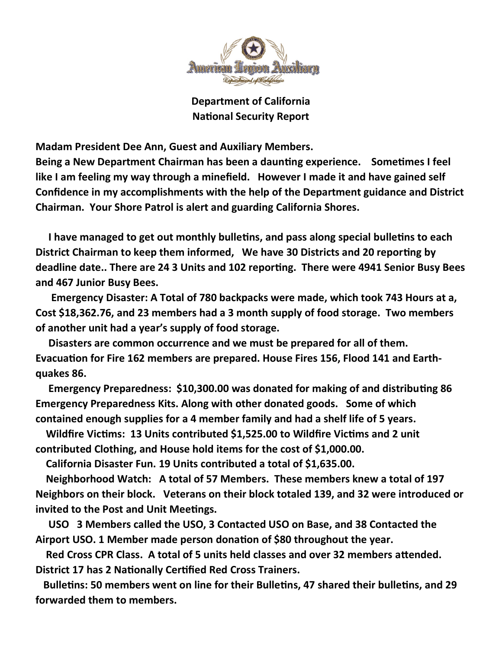

Department of California **National Security Report** 

Madam President Dee Ann, Guest and Auxiliary Members.

Being a New Department Chairman has been a daunting experience. Sometimes I feel like I am feeling my way through a minefield. However I made it and have gained self Confidence in my accomplishments with the help of the Department guidance and District Chairman. Your Shore Patrol is alert and guarding California Shores.

I have managed to get out monthly bulletins, and pass along special bulletins to each District Chairman to keep them informed, We have 30 Districts and 20 reporting by deadline date.. There are 24 3 Units and 102 reporting. There were 4941 Senior Busy Bees and 467 Junior Busy Bees.

 Emergency Disaster: A Total of 780 backpacks were made, which took 743 Hours at a, Cost \$18,362.76, and 23 members had a 3 month supply of food storage. Two members of another unit had a year's supply of food storage.

 Disasters are common occurrence and we must be prepared for all of them. Evacuation for Fire 162 members are prepared. House Fires 156, Flood 141 and Earthquakes 86.

Emergency Preparedness: \$10,300.00 was donated for making of and distributing 86 Emergency Preparedness Kits. Along with other donated goods. Some of which contained enough supplies for a 4 member family and had a shelf life of 5 years.

Wildfire Victims: 13 Units contributed \$1,525.00 to Wildfire Victims and 2 unit contributed Clothing, and House hold items for the cost of \$1,000.00.

California Disaster Fun. 19 Units contributed a total of \$1,635.00.

 Neighborhood Watch: A total of 57 Members. These members knew a total of 197 Neighbors on their block. Veterans on their block totaled 139, and 32 were introduced or invited to the Post and Unit Meetings.

 USO 3 Members called the USO, 3 Contacted USO on Base, and 38 Contacted the Airport USO. 1 Member made person donation of \$80 throughout the year.

Red Cross CPR Class. A total of 5 units held classes and over 32 members attended. District 17 has 2 Nationally Certified Red Cross Trainers.

Bulletins: 50 members went on line for their Bulletins, 47 shared their bulletins, and 29 forwarded them to members.